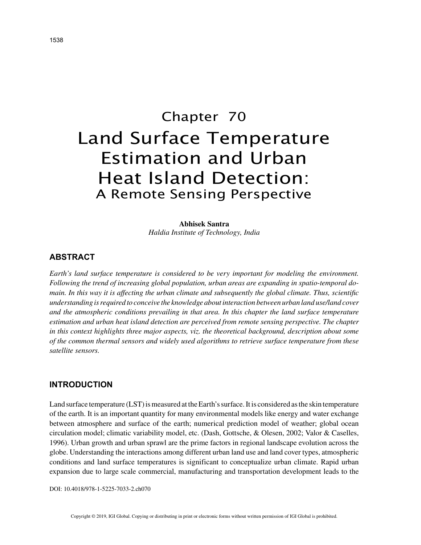# Chapter 70 Land Surface Temperature Estimation and Urban Heat Island Detection: A Remote Sensing Perspective

**Abhisek Santra** *Haldia Institute of Technology, India*

## **ABSTRACT**

*Earth's land surface temperature is considered to be very important for modeling the environment. Following the trend of increasing global population, urban areas are expanding in spatio-temporal domain. In this way it is affecting the urban climate and subsequently the global climate. Thus, scientific understanding is required to conceive the knowledge about interaction between urban land use/land cover and the atmospheric conditions prevailing in that area. In this chapter the land surface temperature estimation and urban heat island detection are perceived from remote sensing perspective. The chapter in this context highlights three major aspects, viz. the theoretical background, description about some of the common thermal sensors and widely used algorithms to retrieve surface temperature from these satellite sensors.*

### **INTRODUCTION**

Land surface temperature (LST) is measured at the Earth's surface. It is considered as the skin temperature of the earth. It is an important quantity for many environmental models like energy and water exchange between atmosphere and surface of the earth; numerical prediction model of weather; global ocean circulation model; climatic variability model, etc. (Dash, Gottsche, & Olesen, 2002; Valor & Caselles, 1996). Urban growth and urban sprawl are the prime factors in regional landscape evolution across the globe. Understanding the interactions among different urban land use and land cover types, atmospheric conditions and land surface temperatures is significant to conceptualize urban climate. Rapid urban expansion due to large scale commercial, manufacturing and transportation development leads to the

DOI: 10.4018/978-1-5225-7033-2.ch070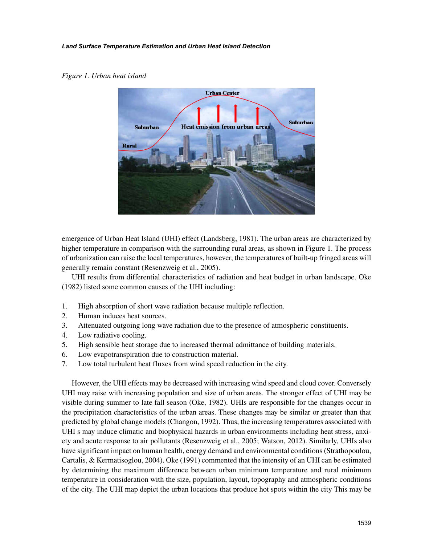#### *Land Surface Temperature Estimation and Urban Heat Island Detection*

#### *Figure 1. Urban heat island*



emergence of Urban Heat Island (UHI) effect (Landsberg, 1981). The urban areas are characterized by higher temperature in comparison with the surrounding rural areas, as shown in Figure 1. The process of urbanization can raise the local temperatures, however, the temperatures of built-up fringed areas will generally remain constant (Resenzweig et al., 2005).

UHI results from differential characteristics of radiation and heat budget in urban landscape. Oke (1982) listed some common causes of the UHI including:

- 1. High absorption of short wave radiation because multiple reflection.
- 2. Human induces heat sources.
- 3. Attenuated outgoing long wave radiation due to the presence of atmospheric constituents.
- 4. Low radiative cooling.
- 5. High sensible heat storage due to increased thermal admittance of building materials.
- 6. Low evapotranspiration due to construction material.
- 7. Low total turbulent heat fluxes from wind speed reduction in the city.

However, the UHI effects may be decreased with increasing wind speed and cloud cover. Conversely UHI may raise with increasing population and size of urban areas. The stronger effect of UHI may be visible during summer to late fall season (Oke, 1982). UHIs are responsible for the changes occur in the precipitation characteristics of the urban areas. These changes may be similar or greater than that predicted by global change models (Changon, 1992). Thus, the increasing temperatures associated with UHI s may induce climatic and biophysical hazards in urban environments including heat stress, anxiety and acute response to air pollutants (Resenzweig et al., 2005; Watson, 2012). Similarly, UHIs also have significant impact on human health, energy demand and environmental conditions (Strathopoulou, Cartalis, & Kermatisoglou, 2004). Oke (1991) commented that the intensity of an UHI can be estimated by determining the maximum difference between urban minimum temperature and rural minimum temperature in consideration with the size, population, layout, topography and atmospheric conditions of the city. The UHI map depict the urban locations that produce hot spots within the city This may be